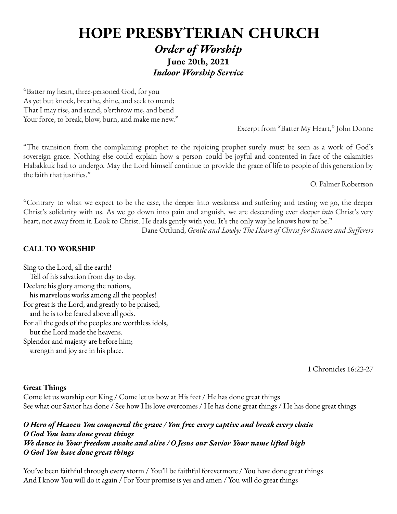# **HOPE PRESBYTERIAN CHURCH** *Order of Worship* **June 20th, 2021** *Indoor Worship Service*

"Batter my heart, three-personed God, for you As yet but knock, breathe, shine, and seek to mend; That I may rise, and stand, o'erthrow me, and bend Your force, to break, blow, burn, and make me new."

Excerpt from "Batter My Heart," John Donne

"The transition from the complaining prophet to the rejoicing prophet surely must be seen as a work of God's sovereign grace. Nothing else could explain how a person could be joyful and contented in face of the calamities Habakkuk had to undergo. May the Lord himself continue to provide the grace of life to people of this generation by the faith that justifies."

O. Palmer Robertson

"Contrary to what we expect to be the case, the deeper into weakness and suffering and testing we go, the deeper Christ's solidarity with us. As we go down into pain and anguish, we are descending ever deeper *into* Christ's very heart, not away from it. Look to Christ. He deals gently with you. It's the only way he knows how to be."

Dane Ortlund, *Gentle and Lowly: The Heart of Christ for Sinners and Sufferers*

#### **CALL TO WORSHIP**

Sing to the Lord, all the earth! Tell of his salvation from day to day. Declare his glory among the nations, his marvelous works among all the peoples! For great is the Lord, and greatly to be praised, and he is to be feared above all gods. For all the gods of the peoples are worthless idols, but the Lord made the heavens. Splendor and majesty are before him; strength and joy are in his place.

1 Chronicles 16:23-27

#### **Great Things**

Come let us worship our King / Come let us bow at His feet / He has done great things See what our Savior has done / See how His love overcomes / He has done great things / He has done great things

#### *O Hero of Heaven You conquered the grave / You free every captive and break every chain O God You have done great things We dance in Your freedom awake and alive / O Jesus our Savior Your name lifted high O God You have done great things*

You've been faithful through every storm / You'll be faithful forevermore / You have done great things And I know You will do it again / For Your promise is yes and amen / You will do great things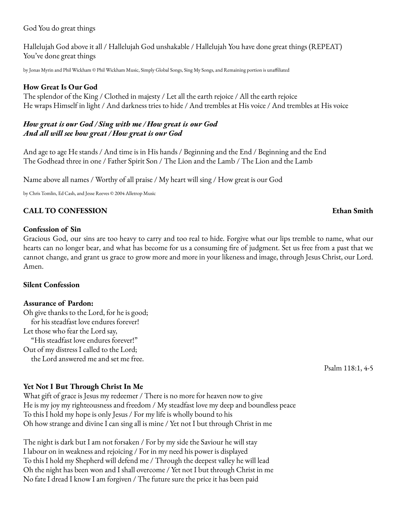### God You do great things

Hallelujah God above it all / Hallelujah God unshakable / Hallelujah You have done great things (REPEAT) You've done great things

by Jonas Myrin and Phil Wickham © Phil Wickham Music, Simply Global Songs, Sing My Songs, and Remaining portion is unaffiliated

### **How Great Is Our God**

The splendor of the King / Clothed in majesty / Let all the earth rejoice / All the earth rejoice He wraps Himself in light / And darkness tries to hide / And trembles at His voice / And trembles at His voice

### *How great is our God / Sing with me / How great is our God And all will see how great / How great is our God*

And age to age He stands / And time is in His hands / Beginning and the End / Beginning and the End The Godhead three in one / Father Spirit Son / The Lion and the Lamb / The Lion and the Lamb

Name above all names / Worthy of all praise / My heart will sing / How great is our God

by Chris Tomlin, Ed Cash, and Jesse Reeves © 2004 Alletrop Music

# **CALL TO CONFESSION Ethan Smith**

#### **Confession of Sin**

Gracious God, our sins are too heavy to carry and too real to hide. Forgive what our lips tremble to name, what our hearts can no longer bear, and what has become for us a consuming fire of judgment. Set us free from a past that we cannot change, and grant us grace to grow more and more in your likeness and image, through Jesus Christ, our Lord. Amen.

#### **Silent Confession**

#### **Assurance of Pardon:**

Oh give thanks to the Lord, for he is good; for his steadfast love endures forever! Let those who fear the Lord say, "His steadfast love endures forever!" Out of my distress I called to the Lord;

the Lord answered me and set me free.

Psalm 118:1, 4-5

# **Yet Not I But Through Christ In Me**

What gift of grace is Jesus my redeemer / There is no more for heaven now to give He is my joy my righteousness and freedom / My steadfast love my deep and boundless peace To this I hold my hope is only Jesus / For my life is wholly bound to his Oh how strange and divine I can sing all is mine / Yet not I but through Christ in me

The night is dark but I am not forsaken / For by my side the Saviour he will stay I labour on in weakness and rejoicing / For in my need his power is displayed To this I hold my Shepherd will defend me / Through the deepest valley he will lead Oh the night has been won and I shall overcome / Yet not I but through Christ in me No fate I dread I know I am forgiven / The future sure the price it has been paid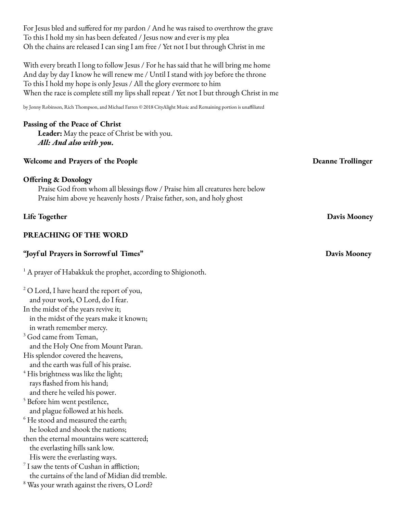For Jesus bled and suffered for my pardon / And he was raised to overthrow the grave To this I hold my sin has been defeated / Jesus now and ever is my plea Oh the chains are released I can sing I am free / Yet not I but through Christ in me With every breath I long to follow Jesus / For he has said that he will bring me home And day by day I know he will renew me / Until I stand with joy before the throne To this I hold my hope is only Jesus / All the glory evermore to him When the race is complete still my lips shall repeat / Yet not I but through Christ in me by Jonny Robinson, Rich Thompson, and Michael Farren © 2018 CityAlight Music and Remaining portion is unaffiliated **Passing of the Peace of Christ Leader:** May the peace of Christ be with you. *All: And also with you.* **Welcome and Prayers of the People Deanne Trollinger Offering & Doxology** Praise God from whom all blessings flow / Praise him all creatures here below Praise him above ye heavenly hosts / Praise father, son, and holy ghost **Life Together Davis Mooney PREACHING OF THE WORD "Joyf ul Prayers in Sorrowf ul Times" Davis Mooney**  $<sup>1</sup>$  A prayer of Habakkuk the prophet, according to Shigionoth.</sup>  $2^2$ O Lord, I have heard the report of you, and your work, O Lord, do I fear. In the midst of the years revive it; in the midst of the years make it known; in wrath remember mercy. <sup>3</sup> God came from Teman, and the Holy One from Mount Paran. His splendor covered the heavens, and the earth was full of his praise.  $4$  His brightness was like the light; rays flashed from his hand; and there he veiled his power. <sup>5</sup> Before him went pestilence, and plague followed at his heels.  $^6$ He stood and measured the earth; he looked and shook the nations; then the eternal mountains were scattered; the everlasting hills sank low. His were the everlasting ways.  $\sqrt{7}$  I saw the tents of Cushan in affliction; the curtains of the land of Midian did tremble.  $8$  Was your wrath against the rivers, O Lord?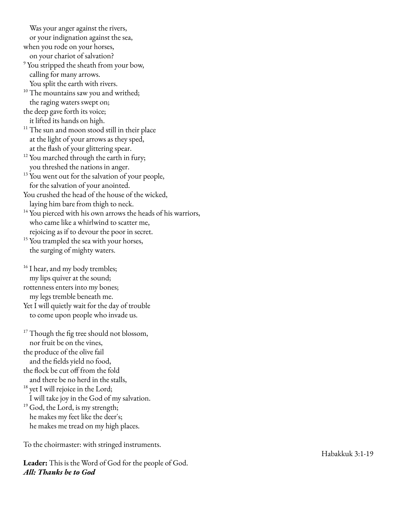Was your anger against the rivers, or your indignation against the sea, when you rode on your horses,

- on your chariot of salvation?
- <sup>9</sup> You stripped the sheath from your bow, calling for many arrows.
- You split the earth with rivers.  $10$  The mountains saw you and writhed;
- the raging waters swept on; the deep gave forth its voice;
- it lifted its hands on high.
- $11$  The sun and moon stood still in their place at the light of your arrows as they sped, at the flash of your glittering spear.
- $12$  You marched through the earth in fury; you threshed the nations in anger.
- $13$  You went out for the salvation of your people, for the salvation of your anointed.
- You crushed the head of the house of the wicked, laying him bare from thigh to neck.
- $14$  You pierced with his own arrows the heads of his warriors, who came like a whirlwind to scatter me, rejoicing as if to devour the poor in secret.
- <sup>15</sup> You trampled the sea with your horses, the surging of mighty waters.

<sup>16</sup> I hear, and my body trembles; my lips quiver at the sound; rottenness enters into my bones;

- my legs tremble beneath me.
- Yet I will quietly wait for the day of trouble to come upon people who invade us.
- $17$  Though the fig tree should not blossom, nor fruit be on the vines, the produce of the olive fail and the fields yield no food, the flock be cut off from the fold and there be no herd in the stalls, <sup>18</sup> yet I will rejoice in the Lord; I will take joy in the God of my salvation. <sup>19</sup> God, the Lord, is my strength; he makes my feet like the deer's; he makes me tread on my high places.
- To the choirmaster: with stringed instrumen t s.
- **Leader:** This is the Word of God for the people of God. *All: Thanks be to God*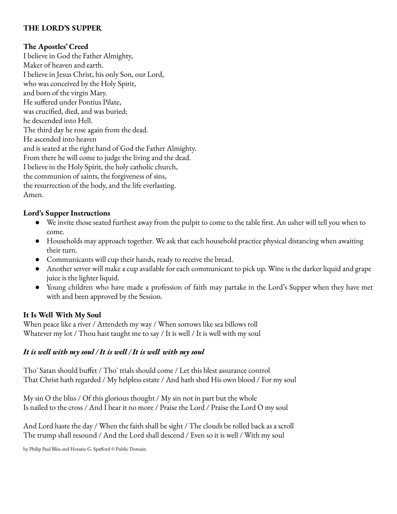# **THE LORD'S SUPPER**

#### **The Apostles' Creed**

I believe in God the Father Almighty, Maker of heaven and earth. I believe in Jesus Christ, his only Son, our Lord, who was conceived by the Holy Spirit, and born of the virgin Mary. He suffered under Pontius Pilate, was crucified, died, and was buried; he descended into Hell. The third day he rose again from the dead. He ascended into heaven and is seated at the right hand of God the Father Almighty. From there he will come to judge the living and the dead. I believe in the Holy Spirit, the holy catholic church, the communion of saints, the forgiveness of sins, the resurrection of the body, and the life everlasting. Amen.

## **Lord's Supper Instructions**

- We invite those seated furthest away from the pulpit to come to the table first. An usher will tell you when to come.
- Households may approach together. We ask that each household practice physical distancing when awaiting their turn.
- Communicants will cup their hands, ready to receive the bread.
- Another server will make a cup available for each communicant to pick up. Wine is the darker liquid and grape juice is the lighter liquid.
- Young children who have made a profession of faith may partake in the Lord's Supper when they have met with and been approved by the Session.

# **It Is Well With My Soul**

When peace like a river / Attendeth my way / When sorrows like sea billows roll Whatever my lot / Thou hast taught me to say / It is well / It is well with my soul

# *It is well with my soul / It is well / It is well with my soul*

Tho' Satan should buffet / Tho' trials should come / Let this blest assurance control That Christ hath regarded / My helpless estate / And hath shed His own blood / For my soul

My sin O the bliss / Of this glorious thought / My sin not in part but the whole Is nailed to the cross / And I bear it no more / Praise the Lord / Praise the Lord O my soul

And Lord haste the day / When the faith shall be sight / The clouds be rolled back as a scroll The trump shall resound / And the Lord shall descend / Even so it is well / With my soul

by Philip Paul Bliss and Horatio G. Spafford © Public Domain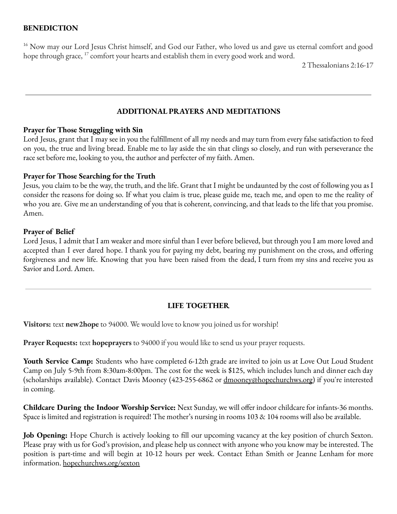### **BENEDICTION**

<sup>16</sup> Now may our Lord Jesus Christ himself, and God our Father, who loved us and gave us eternal comfort and good hope through grace, <sup>17</sup> comfort your hearts and establish them in every good work and word.

2 Thessalonians 2:16-17

# **ADDITIONAL PRAYERS AND MEDITATIONS**

#### **Prayer for Those Struggling with Sin**

Lord Jesus, grant that I may see in you the fulfillment of all my needs and may turn from every false satisfaction to feed on you, the true and living bread. Enable me to lay aside the sin that clings so closely, and run with perseverance the race set before me, looking to you, the author and perfecter of my faith. Amen.

#### **Prayer for Those Searching for the Truth**

Jesus, you claim to be the way, the truth, and the life. Grant that I might be undaunted by the cost of following you as I consider the reasons for doing so. If what you claim is true, please guide me, teach me, and open to me the reality of who you are. Give me an understanding of you that is coherent, convincing, and that leads to the life that you promise. Amen.

#### **Prayer of Belief**

Lord Jesus, I admit that I am weaker and more sinful than I ever before believed, but through you I am more loved and accepted than I ever dared hope. I thank you for paying my debt, bearing my punishment on the cross, and offering forgiveness and new life. Knowing that you have been raised from the dead, I turn from my sins and receive you as Savior and Lord. Amen.

#### **LIFE TOGETHER**

**Visitors:** text **new2hope** to 94000. We would love to know you joined us for worship!

**Prayer Requests:** text **hopeprayers** to 94000 if you would like to send us your prayer requests.

**Youth Service Camp:** Students who have completed 6-12th grade are invited to join us at Love Out Loud Student Camp on July 5-9th from 8:30am-8:00pm. The cost for the week is \$125, which includes lunch and dinner each day (scholarships available). Contact Davis Mooney (423-255-6862 or dmooney@hopechurchws.org) if you're interested in coming.

**Childcare During the Indoor Worship Service:** Next Sunday, we will offer indoor childcare for infants-36 months. Space is limited and registration is required! The mother's nursing in rooms 103 & 104 rooms will also be available.

**Job Opening:** Hope Church is actively looking to fill our upcoming vacancy at the key position of church Sexton. Please pray with us for God's provision, and please help us connect with anyone who you know may be interested. The position is part-time and will begin at 10-12 hours per week. Contact [Ethan](mailto:esmith@hopechurchws.org) Smith or Jeanne [Lenham](mailto:office@hopechurchws.org) for more information. hopechurchws.org/sexton